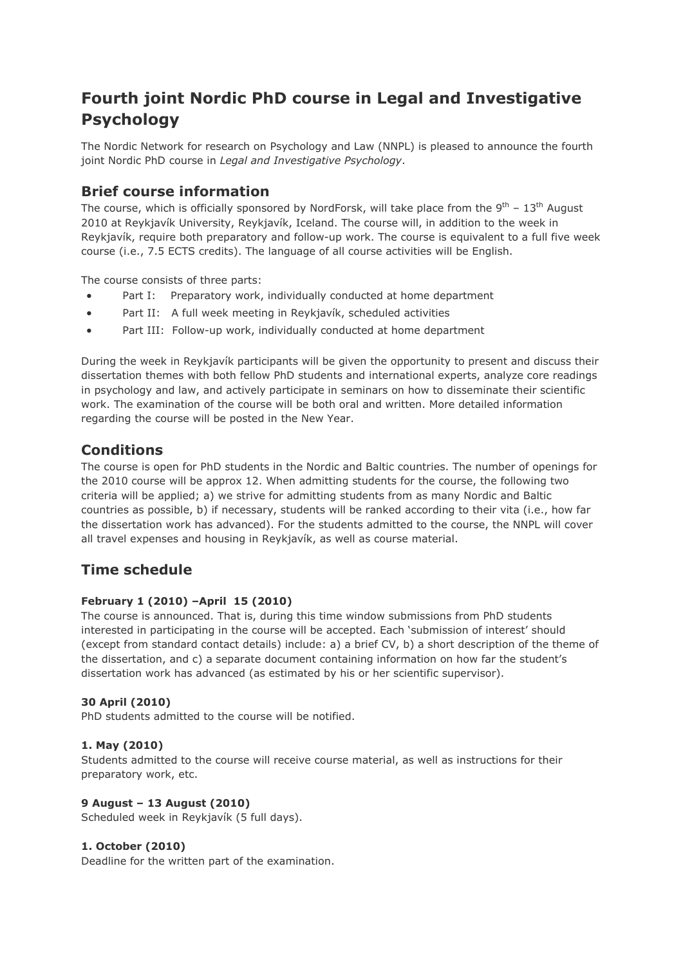# **Fourth joint Nordic PhD course in Legal and Investigative Psychology**

The Nordic Network for research on Psychology and Law (NNPL) is pleased to announce the fourth joint Nordic PhD course in *Legal and Investigative Psychology*.

### **Brief course information**

The course, which is officially sponsored by NordForsk, will take place from the  $9<sup>th</sup> - 13<sup>th</sup>$  August 2010 at Reykjavík University, Reykjavík, Iceland. The course will, in addition to the week in Reykjavík, require both preparatory and follow-up work. The course is equivalent to a full five week course (i.e., 7.5 ECTS credits). The language of all course activities will be English.

The course consists of three parts:

- Part I: Preparatory work, individually conducted at home department
- Part II: A full week meeting in Reykjavík, scheduled activities
- Part III: Follow-up work, individually conducted at home department

During the week in Reykjavík participants will be given the opportunity to present and discuss their dissertation themes with both fellow PhD students and international experts, analyze core readings in psychology and law, and actively participate in seminars on how to disseminate their scientific work. The examination of the course will be both oral and written. More detailed information regarding the course will be posted in the New Year.

### **Conditions**

The course is open for PhD students in the Nordic and Baltic countries. The number of openings for the 2010 course will be approx 12. When admitting students for the course, the following two criteria will be applied; a) we strive for admitting students from as many Nordic and Baltic countries as possible, b) if necessary, students will be ranked according to their vita (i.e., how far the dissertation work has advanced). For the students admitted to the course, the NNPL will cover all travel expenses and housing in Reykjavík, as well as course material.

### **Time schedule**

#### **February 1 (2010) –April 15 (2010)**

The course is announced. That is, during this time window submissions from PhD students interested in participating in the course will be accepted. Each 'submission of interest' should (except from standard contact details) include: a) a brief CV, b) a short description of the theme of the dissertation, and c) a separate document containing information on how far the student's dissertation work has advanced (as estimated by his or her scientific supervisor).

#### **30 April (2010)**

PhD students admitted to the course will be notified.

#### **1. May (2010)**

Students admitted to the course will receive course material, as well as instructions for their preparatory work, etc.

#### **9 August – 13 August (2010)**

Scheduled week in Reykjavík (5 full days).

#### **1. October (2010)**

Deadline for the written part of the examination.